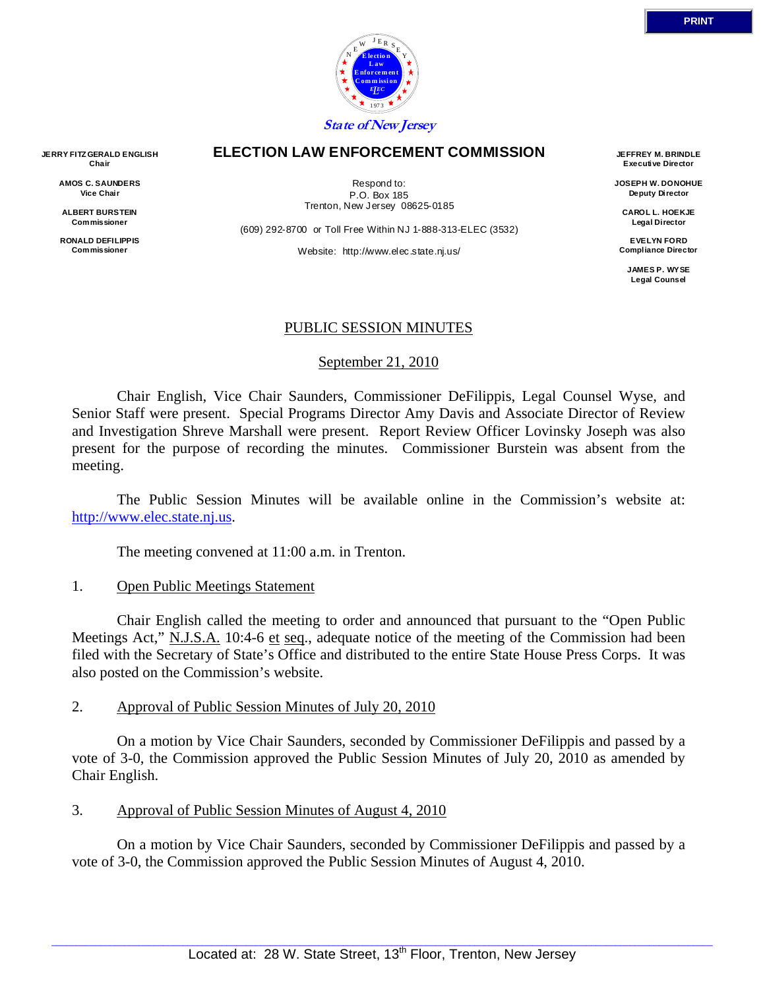

#### **ELECTION LAW ENFORCEMENT COMMISSION**

Respond to: P.O. Box 185 Trenton, New Jersey 08625-0185

(609) 292-8700 or Toll Free Within NJ 1-888-313-ELEC (3532)

Website: http://www.elec.state.nj.us/

**JEFFREY M. BRINDLE Executive Director** 

**JOSEPH W. DONOHUE Deputy Director** 

**CAROL L. HOEKJE Legal Director** 

**EVELYN FORD Compliance Director** 

> **JAMES P. WYSE Legal Counsel**

# PUBLIC SESSION MINUTES

# September 21, 2010

 Chair English, Vice Chair Saunders, Commissioner DeFilippis, Legal Counsel Wyse, and Senior Staff were present. Special Programs Director Amy Davis and Associate Director of Review and Investigation Shreve Marshall were present. Report Review Officer Lovinsky Joseph was also present for the purpose of recording the minutes. Commissioner Burstein was absent from the meeting.

 The Public Session Minutes will be available online in the Commission's website at: http://www.elec.state.nj.us.

The meeting convened at 11:00 a.m. in Trenton.

# 1. Open Public Meetings Statement

 Chair English called the meeting to order and announced that pursuant to the "Open Public Meetings Act," N.J.S.A. 10:4-6 et seq., adequate notice of the meeting of the Commission had been filed with the Secretary of State's Office and distributed to the entire State House Press Corps. It was also posted on the Commission's website.

# 2. Approval of Public Session Minutes of July 20, 2010

 On a motion by Vice Chair Saunders, seconded by Commissioner DeFilippis and passed by a vote of 3-0, the Commission approved the Public Session Minutes of July 20, 2010 as amended by Chair English.

# 3. Approval of Public Session Minutes of August 4, 2010

 On a motion by Vice Chair Saunders, seconded by Commissioner DeFilippis and passed by a vote of 3-0, the Commission approved the Public Session Minutes of August 4, 2010.

**AMOS C. SAUNDERS Vice Chair** 

**ALBERT BURSTEIN Commissioner** 

**RONALD DEFILIPPIS Commissioner**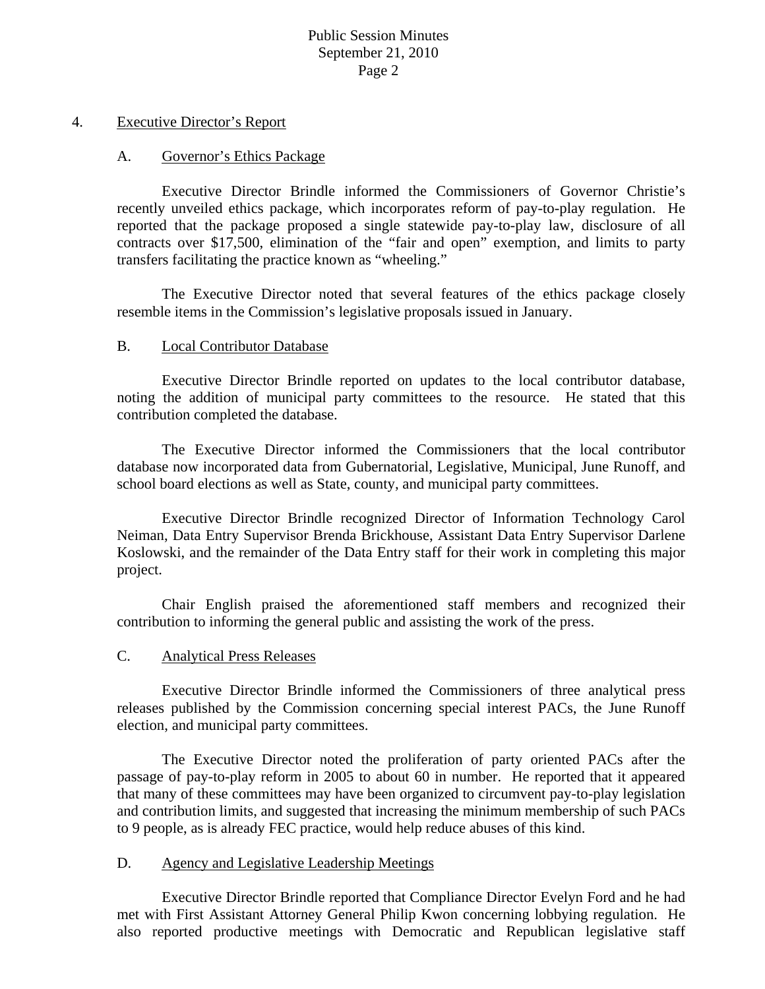#### 4. Executive Director's Report

#### A. Governor's Ethics Package

 Executive Director Brindle informed the Commissioners of Governor Christie's recently unveiled ethics package, which incorporates reform of pay-to-play regulation. He reported that the package proposed a single statewide pay-to-play law, disclosure of all contracts over \$17,500, elimination of the "fair and open" exemption, and limits to party transfers facilitating the practice known as "wheeling."

 The Executive Director noted that several features of the ethics package closely resemble items in the Commission's legislative proposals issued in January.

#### B. Local Contributor Database

 Executive Director Brindle reported on updates to the local contributor database, noting the addition of municipal party committees to the resource. He stated that this contribution completed the database.

 The Executive Director informed the Commissioners that the local contributor database now incorporated data from Gubernatorial, Legislative, Municipal, June Runoff, and school board elections as well as State, county, and municipal party committees.

 Executive Director Brindle recognized Director of Information Technology Carol Neiman, Data Entry Supervisor Brenda Brickhouse, Assistant Data Entry Supervisor Darlene Koslowski, and the remainder of the Data Entry staff for their work in completing this major project.

 Chair English praised the aforementioned staff members and recognized their contribution to informing the general public and assisting the work of the press.

#### C. Analytical Press Releases

 Executive Director Brindle informed the Commissioners of three analytical press releases published by the Commission concerning special interest PACs, the June Runoff election, and municipal party committees.

 The Executive Director noted the proliferation of party oriented PACs after the passage of pay-to-play reform in 2005 to about 60 in number. He reported that it appeared that many of these committees may have been organized to circumvent pay-to-play legislation and contribution limits, and suggested that increasing the minimum membership of such PACs to 9 people, as is already FEC practice, would help reduce abuses of this kind.

#### D. Agency and Legislative Leadership Meetings

 Executive Director Brindle reported that Compliance Director Evelyn Ford and he had met with First Assistant Attorney General Philip Kwon concerning lobbying regulation. He also reported productive meetings with Democratic and Republican legislative staff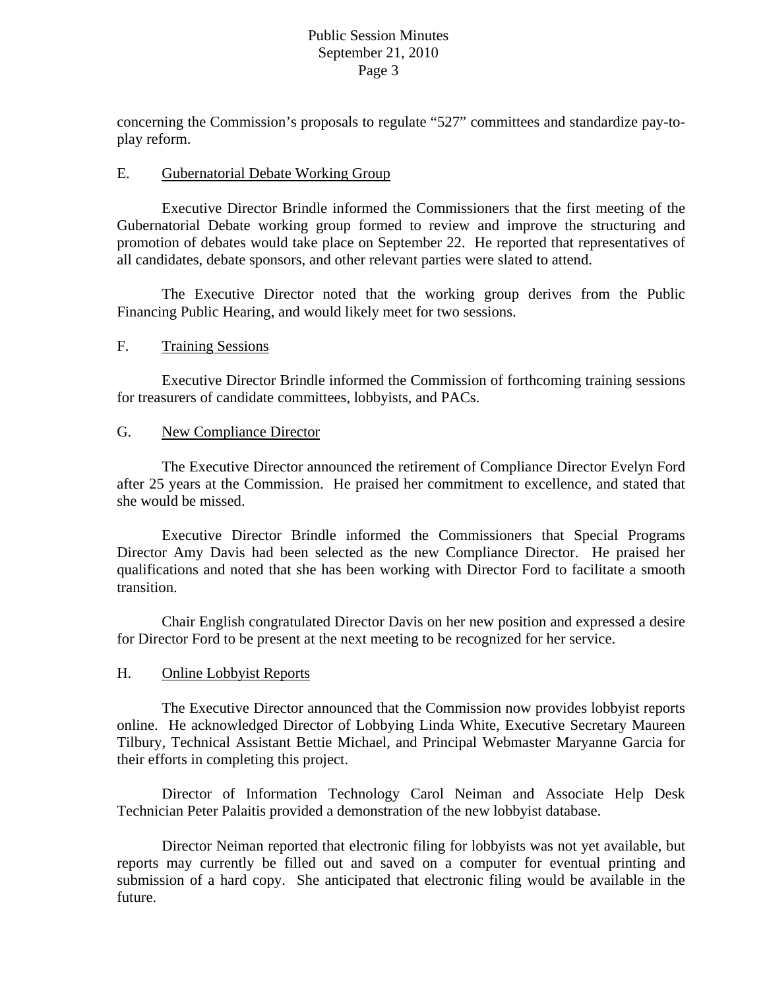concerning the Commission's proposals to regulate "527" committees and standardize pay-toplay reform.

#### E. Gubernatorial Debate Working Group

 Executive Director Brindle informed the Commissioners that the first meeting of the Gubernatorial Debate working group formed to review and improve the structuring and promotion of debates would take place on September 22. He reported that representatives of all candidates, debate sponsors, and other relevant parties were slated to attend.

The Executive Director noted that the working group derives from the Public Financing Public Hearing, and would likely meet for two sessions.

# F. Training Sessions

Executive Director Brindle informed the Commission of forthcoming training sessions for treasurers of candidate committees, lobbyists, and PACs.

#### G. New Compliance Director

 The Executive Director announced the retirement of Compliance Director Evelyn Ford after 25 years at the Commission. He praised her commitment to excellence, and stated that she would be missed.

 Executive Director Brindle informed the Commissioners that Special Programs Director Amy Davis had been selected as the new Compliance Director. He praised her qualifications and noted that she has been working with Director Ford to facilitate a smooth transition.

 Chair English congratulated Director Davis on her new position and expressed a desire for Director Ford to be present at the next meeting to be recognized for her service.

#### H. Online Lobbyist Reports

 The Executive Director announced that the Commission now provides lobbyist reports online. He acknowledged Director of Lobbying Linda White, Executive Secretary Maureen Tilbury, Technical Assistant Bettie Michael, and Principal Webmaster Maryanne Garcia for their efforts in completing this project.

 Director of Information Technology Carol Neiman and Associate Help Desk Technician Peter Palaitis provided a demonstration of the new lobbyist database.

 Director Neiman reported that electronic filing for lobbyists was not yet available, but reports may currently be filled out and saved on a computer for eventual printing and submission of a hard copy. She anticipated that electronic filing would be available in the future.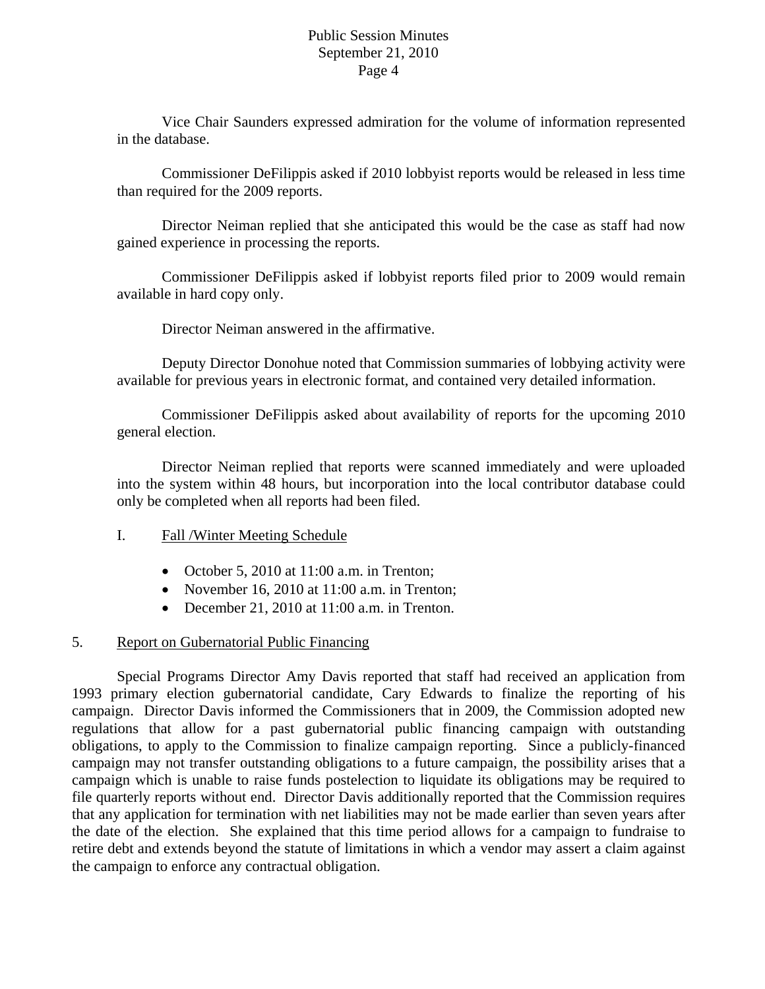Vice Chair Saunders expressed admiration for the volume of information represented in the database.

Commissioner DeFilippis asked if 2010 lobbyist reports would be released in less time than required for the 2009 reports.

Director Neiman replied that she anticipated this would be the case as staff had now gained experience in processing the reports.

Commissioner DeFilippis asked if lobbyist reports filed prior to 2009 would remain available in hard copy only.

Director Neiman answered in the affirmative.

Deputy Director Donohue noted that Commission summaries of lobbying activity were available for previous years in electronic format, and contained very detailed information.

Commissioner DeFilippis asked about availability of reports for the upcoming 2010 general election.

Director Neiman replied that reports were scanned immediately and were uploaded into the system within 48 hours, but incorporation into the local contributor database could only be completed when all reports had been filed.

# I. Fall /Winter Meeting Schedule

- October 5, 2010 at  $11:00$  a.m. in Trenton;
- November 16, 2010 at 11:00 a.m. in Trenton;
- December 21, 2010 at 11:00 a.m. in Trenton.

# 5. Report on Gubernatorial Public Financing

Special Programs Director Amy Davis reported that staff had received an application from 1993 primary election gubernatorial candidate, Cary Edwards to finalize the reporting of his campaign. Director Davis informed the Commissioners that in 2009, the Commission adopted new regulations that allow for a past gubernatorial public financing campaign with outstanding obligations, to apply to the Commission to finalize campaign reporting. Since a publicly-financed campaign may not transfer outstanding obligations to a future campaign, the possibility arises that a campaign which is unable to raise funds postelection to liquidate its obligations may be required to file quarterly reports without end. Director Davis additionally reported that the Commission requires that any application for termination with net liabilities may not be made earlier than seven years after the date of the election. She explained that this time period allows for a campaign to fundraise to retire debt and extends beyond the statute of limitations in which a vendor may assert a claim against the campaign to enforce any contractual obligation.